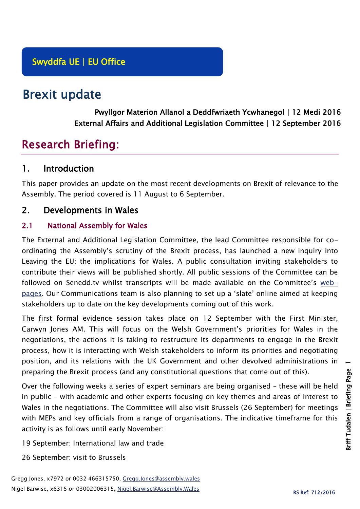# Brexit update

Pwyllgor Materion Allanol a Deddfwriaeth Ycwhanegol | 12 Medi 2016 External Affairs and Additional Legislation Committee | 12 September 2016

# Research Briefing:

## 1. Introduction

This paper provides an update on the most recent developments on Brexit of relevance to the Assembly. The period covered is 11 August to 6 September.

## 2. Developments in Wales

#### 2.1 National Assembly for Wales

The External and Additional Legislation Committee, the lead Committee responsible for coordinating the Assembly's scrutiny of the Brexit process, has launched a new inquiry into Leaving the EU: the implications for Wales. A public consultation inviting stakeholders to contribute their views will be published shortly. All public sessions of the Committee can be followed on Senedd.tv whilst transcripts will be made available on the Committee's [web](http://senedd.assembly.wales/mgCommitteeDetails.aspx?ID=449)[pages](http://senedd.assembly.wales/mgCommitteeDetails.aspx?ID=449). Our Communications team is also planning to set up a 'slate' online aimed at keeping stakeholders up to date on the key developments coming out of this work.

The first formal evidence session takes place on 12 September with the First Minister, Carwyn Jones AM. This will focus on the Welsh Government's priorities for Wales in the negotiations, the actions it is taking to restructure its departments to engage in the Brexit process, how it is interacting with Welsh stakeholders to inform its priorities and negotiating position, and its relations with the UK Government and other devolved administrations in preparing the Brexit process (and any constitutional questions that come out of this).

Over the following weeks a series of expert seminars are being organised – these will be held in public – with academic and other experts focusing on key themes and areas of interest to Wales in the negotiations. The Committee will also visit Brussels (26 September) for meetings with MEPs and key officials from a range of organisations. The indicative timeframe for this activity is as follows until early November:

- 19 September: International law and trade
- 26 September: visit to Brussels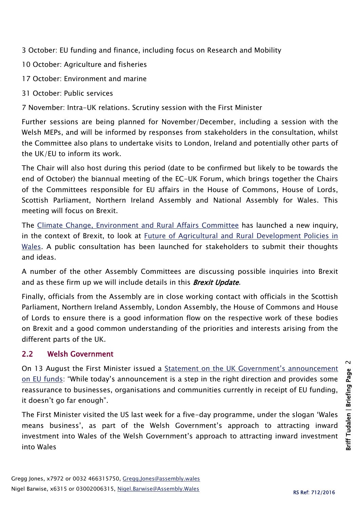3 October: EU funding and finance, including focus on Research and Mobility

- 10 October: Agriculture and fisheries
- 17 October: Environment and marine
- 31 October: Public services

7 November: Intra-UK relations. Scrutiny session with the First Minister

Further sessions are being planned for November/December, including a session with the Welsh MEPs, and will be informed by responses from stakeholders in the consultation, whilst the Committee also plans to undertake visits to London, Ireland and potentially other parts of the UK/EU to inform its work.

The Chair will also host during this period (date to be confirmed but likely to be towards the end of October) the biannual meeting of the EC-UK Forum, which brings together the Chairs of the Committees responsible for EU affairs in the House of Commons, House of Lords, Scottish Parliament, Northern Ireland Assembly and National Assembly for Wales. This meeting will focus on Brexit.

The [Climate Change, Environment and Rural Affairs Committee](http://www.senedd.assembly.wales/mgCommitteeDetails.aspx?ID=444) has launched a new inquiry, in the context of Brexit, to look at [Future of Agricultural and Rural Development Policies in](http://www.senedd.assembly.wales/mgIssueHistoryHome.aspx?IId=15876)  [Wales.](http://www.senedd.assembly.wales/mgIssueHistoryHome.aspx?IId=15876) A public consultation has been launched for stakeholders to submit their thoughts and ideas.

A number of the other Assembly Committees are discussing possible inquiries into Brexit and as these firm up we will include details in this **Brexit Update**.

Finally, officials from the Assembly are in close working contact with officials in the Scottish Parliament, Northern Ireland Assembly, London Assembly, the House of Commons and House of Lords to ensure there is a good information flow on the respective work of these bodies on Brexit and a good common understanding of the priorities and interests arising from the different parts of the UK.

#### 2.2 Welsh Government

On 13 August the First Minister issued a [Statement on the UK Government's announcement](http://gov.wales/newsroom/firstminister/2016/160813eu/?lang=en)  [on EU funds:](http://gov.wales/newsroom/firstminister/2016/160813eu/?lang=en) "While today's announcement is a step in the right direction and provides some reassurance to businesses, organisations and communities currently in receipt of EU funding, it doesn't go far enough".

The First Minister visited the US last week for a five-day programme, under the slogan 'Wales means business', as part of the Welsh Government's approach to attracting inward investment into Wales of the Welsh Government's approach to attracting inward investment into Wales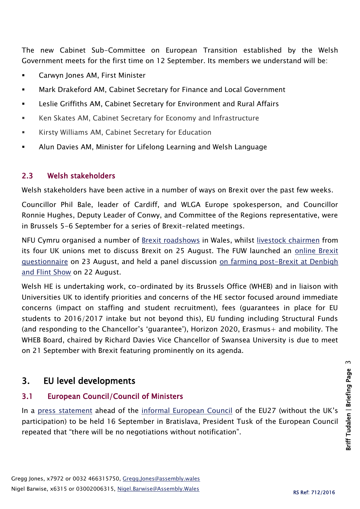The new Cabinet Sub-Committee on European Transition established by the Welsh Government meets for the first time on 12 September. Its members we understand will be:

- Carwyn Jones AM, First Minister
- Mark Drakeford AM, Cabinet Secretary for Finance and Local Government
- Leslie Griffiths AM, Cabinet Secretary for Environment and Rural Affairs
- Ken Skates AM, Cabinet Secretary for Economy and Infrastructure
- Kirsty Williams AM, Cabinet Secretary for Education
- Alun Davies AM, Minister for Lifelong Learning and Welsh Language

#### 2.3 Welsh stakeholders

Welsh stakeholders have been active in a number of ways on Brexit over the past few weeks.

Councillor Phil Bale, leader of Cardiff, and WLGA Europe spokesperson, and Councillor Ronnie Hughes, Deputy Leader of Conwy, and Committee of the Regions representative, were in Brussels 5-6 September for a series of Brexit-related meetings.

NFU Cymru organised a number of [Brexit roadshows](http://www.nfu-cymru.org.uk/news/latest-news/farmers-meet-for-brexit-roadshow/) in Wales, whilst [livestock chairmen](http://www.nfu-cymru.org.uk/news/latest-news/livestock-leaders-discuss-post-brexit-priorities/) from its four UK unions met to discuss Brexit on 25 August. The FUW launched an [online Brexit](http://fuw.org.uk/fuw-seeks-members-opinions-via-online-brexit-questionnaire/)  [questionnaire](http://fuw.org.uk/fuw-seeks-members-opinions-via-online-brexit-questionnaire/) on 23 August, and held a panel discussion on farming post-Brexit at Denbigh [and Flint Show](http://fuw.org.uk/fuw-holds-successful-panel-discussion-on-farming-post-brexit-at-denbigh-and-flint-show/) on 22 August.

Welsh HE is undertaking work, co-ordinated by its Brussels Office (WHEB) and in liaison with Universities UK to identify priorities and concerns of the HE sector focused around immediate concerns (impact on staffing and student recruitment), fees (guarantees in place for EU students to 2016/2017 intake but not beyond this), EU funding including Structural Funds (and responding to the Chancellor's 'guarantee'), Horizon 2020, Erasmus+ and mobility. The WHEB Board, chaired by Richard Davies Vice Chancellor of Swansea University is due to meet on 21 September with Brexit featuring prominently on its agenda.

## 3. EU level developments

### 3.1 European Council/Council of Ministers

In a press [statement](http://www.consilium.europa.eu/en/press/press-releases/2016/09/01-tusk-statement-bettel/) ahead of the [informal European Council](http://www.consilium.europa.eu/en/meetings/european-council/2016/09/16-informal-meeting/) of the EU27 (without the UK's participation) to be held 16 September in Bratislava, President Tusk of the European Council repeated that "there will be no negotiations without notification".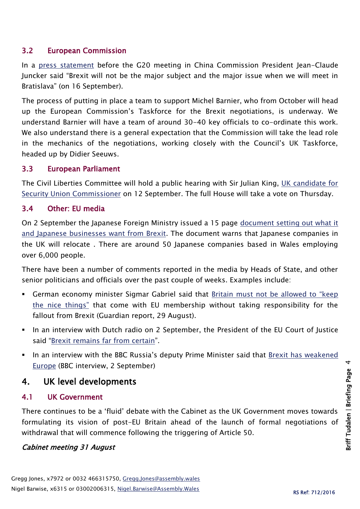#### 3.2 European Commission

In a [press statement](http://europa.eu/rapid/press-release_SPEECH-16-2946_en.htm) before the G20 meeting in China Commission President Jean-Claude Juncker said "Brexit will not be the major subject and the major issue when we will meet in Bratislava" (on 16 September).

The process of putting in place a team to support Michel Barnier, who from October will head up the European Commission's Taskforce for the Brexit negotiations, is underway. We understand Barnier will have a team of around 30-40 key officials to co-ordinate this work. We also understand there is a general expectation that the Commission will take the lead role in the mechanics of the negotiations, working closely with the Council's UK Taskforce, headed up by Didier Seeuws.

#### 3.3 European Parliament

The Civil Liberties Committee will hold a public hearing with Sir Julian King, [UK candidate for](http://www.europarl.europa.eu/news/en/news-room/20160902IPR41088/parliament-to-assess-uk-candidate-for-security-union-commissioner)  [Security Union Commissioner](http://www.europarl.europa.eu/news/en/news-room/20160902IPR41088/parliament-to-assess-uk-candidate-for-security-union-commissioner) on 12 September. The full House will take a vote on Thursday.

#### 3.4 Other: EU media

On 2 September the Japanese Foreign Ministry issued a 15 page [document setting out what it](http://www.mofa.go.jp/files/000185466.pdf)  [and Japanese businesses want from Brexit.](http://www.mofa.go.jp/files/000185466.pdf) The document warns that Japanese companies in the UK will relocate . There are around 50 Japanese companies based in Wales employing over 6,000 people.

There have been a number of comments reported in the media by Heads of State, and other senior politicians and officials over the past couple of weeks. Examples include:

- German economy minister Sigmar Gabriel said that [Britain must not be allowed to "keep](http://www.theguardian.com/politics/2016/aug/29/uk-must-pay-for-brexit-or-eu-is-in-deep-trouble-says-german-minister)  [the nice things"](http://www.theguardian.com/politics/2016/aug/29/uk-must-pay-for-brexit-or-eu-is-in-deep-trouble-says-german-minister) that come with EU membership without taking responsibility for the fallout from Brexit (Guardian report, 29 August).
- In an interview with Dutch radio on 2 September, the President of the EU Court of Justice said "[Brexit remains far from certain](http://www.dekennisvannu.nl/site/artikel/President-EU-Court-of-Justice-Brexit-remains-far-from-certain/8440)".
- In an interview with the BBC Russia's deputy Prime Minister said that [Brexit has weakened](http://www.bbc.co.uk/news/uk-37261388)  [Europe](http://www.bbc.co.uk/news/uk-37261388) (BBC interview, 2 September)

### 4. UK level developments

#### 4.1 UK Government

There continues to be a 'fluid' debate with the Cabinet as the UK Government moves towards formulating its vision of post-EU Britain ahead of the launch of formal negotiations of withdrawal that will commence following the triggering of Article 50.

#### Cabinet meeting 31 August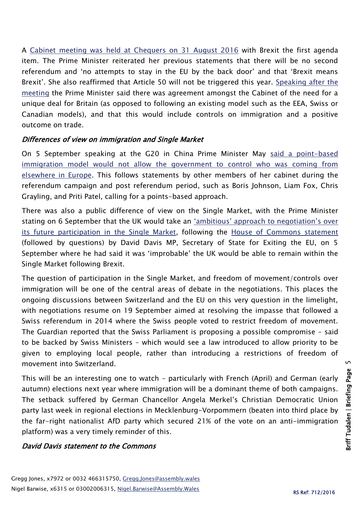A [Cabinet meeting was held at Chequers on 31 August 2016](https://www.gov.uk/government/news/cabinet-meeting-at-chequers-31-august-2016-pm-statement) with Brexit the first agenda item. The Prime Minister reiterated her previous statements that there will be no second referendum and 'no attempts to stay in the EU by the back door' and that 'Brexit means Brexit'. She also reaffirmed that Article 50 will not be triggered this year. [Speaking after the](http://www.bbc.co.uk/news/uk-politics-37219143)  [meeting](http://www.bbc.co.uk/news/uk-politics-37219143) the Prime Minister said there was agreement amongst the Cabinet of the need for a unique deal for Britain (as opposed to following an existing model such as the EEA, Swiss or Canadian models), and that this would include controls on immigration and a positive outcome on trade.

#### Differences of view on immigration and Single Market

On 5 September speaking at the G20 in China Prime Minister May [said a point-based](http://www.bbc.co.uk/news/uk-politics-37271420)  [immigration model would not allow the government to control who was coming from](http://www.bbc.co.uk/news/uk-politics-37271420)  [elsewhere in Europe.](http://www.bbc.co.uk/news/uk-politics-37271420) This follows statements by other members of her cabinet during the referendum campaign and post referendum period, such as Boris Johnson, Liam Fox, Chris Grayling, and Priti Patel, calling for a points-based approach.

There was also a public difference of view on the Single Market, with the Prime Minister stating on 6 September that the UK would take an ['ambitious' approach to negotiation's over](http://www.theguardian.com/politics/2016/sep/06/david-davis-single-market-stance-not-government-policy)  [its future participation in the Single Market,](http://www.theguardian.com/politics/2016/sep/06/david-davis-single-market-stance-not-government-policy) following the [House of Commons statement](file:///C:/Users/barwisen/AppData/Local/Microsoft/Windows/Temporary%20Internet%20Files/Content.Outlook/E3ECG62D/statement%20and%20took%20questions%20on%20Exiting%20the%20European%20Union) (followed by questions) by David Davis MP, Secretary of State for Exiting the EU, on 5 September where he had said it was 'improbable' the UK would be able to remain within the Single Market following Brexit.

The question of participation in the Single Market, and freedom of movement/controls over immigration will be one of the central areas of debate in the negotiations. This places the ongoing discussions between Switzerland and the EU on this very question in the limelight, with negotiations resume on 19 September aimed at resolving the impasse that followed a Swiss referendum in 2014 where the Swiss people voted to restrict freedom of movement. The Guardian reported that the Swiss Parliament is proposing a possible compromise – said to be backed by Swiss Ministers – which would see a law introduced to allow priority to be given to employing local people, rather than introducing a restrictions of freedom of movement into Switzerland.

This will be an interesting one to watch – particularly with French (April) and German (early autumn) elections next year where immigration will be a dominant theme of both campaigns. The setback suffered by German Chancellor Angela Merkel's Christian Democratic Union party last week in regional elections in Mecklenburg-Vorpommern (beaten into third place by the far-right nationalist AfD party which secured 21% of the vote on an anti-immigration platform) was a very timely reminder of this.

#### David Davis statement to the Commons

<u>In</u>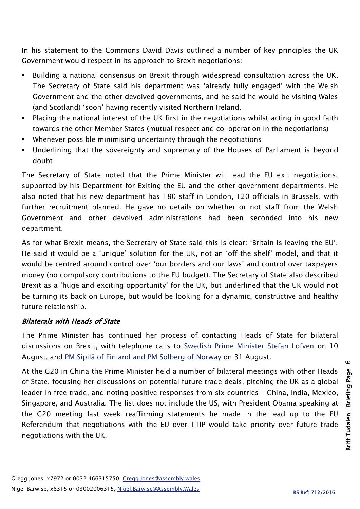In his statement to the Commons David Davis outlined a number of key principles the UK Government would respect in its approach to Brexit negotiations:

- Building a national consensus on Brexit through widespread consultation across the UK. The Secretary of State said his department was 'already fully engaged' with the Welsh Government and the other devolved governments, and he said he would be visiting Wales (and Scotland) 'soon' having recently visited Northern Ireland.
- Placing the national interest of the UK first in the negotiations whilst acting in good faith towards the other Member States (mutual respect and co-operation in the negotiations)
- Whenever possible minimising uncertainty through the negotiations
- Underlining that the sovereignty and supremacy of the Houses of Parliament is beyond doubt

The Secretary of State noted that the Prime Minister will lead the EU exit negotiations, supported by his Department for Exiting the EU and the other government departments. He also noted that his new department has 180 staff in London, 120 officials in Brussels, with further recruitment planned. He gave no details on whether or not staff from the Welsh Government and other devolved administrations had been seconded into his new department.

As for what Brexit means, the Secretary of State said this is clear: 'Britain is leaving the EU'. He said it would be a 'unique' solution for the UK, not an 'off the shelf' model, and that it would be centred around control over 'our borders and our laws' and control over taxpayers money (no compulsory contributions to the EU budget). The Secretary of State also described Brexit as a 'huge and exciting opportunity' for the UK, but underlined that the UK would not be turning its back on Europe, but would be looking for a dynamic, constructive and healthy future relationship.

#### Bilaterals with Heads of State

The Prime Minister has continued her process of contacting Heads of State for bilateral discussions on Brexit, with telephone calls to [Swedish Prime Minister Stefan Lofven](https://www.gov.uk/government/news/pm-call-with-swedish-prime-minister-10-august-2016) on 10 August, and [PM Sipilä of Finland and PM Solberg of Norway](https://www.gov.uk/government/news/pms-phone-calls-with-pm-sipila-of-finland-and-pm-solberg-of-norway-31-august-2016) on 31 August.

At the G20 in China the Prime Minister held a number of bilateral meetings with other Heads of State, focusing her discussions on potential future trade deals, pitching the UK as a global leader in free trade, and noting positive responses from six countries – China, India, Mexico, Singapore, and Australia. The list does not include the US, with President Obama speaking at the G20 meeting last week reaffirming statements he made in the lead up to the EU Referendum that negotiations with the EU over TTIP would take priority over future trade negotiations with the UK.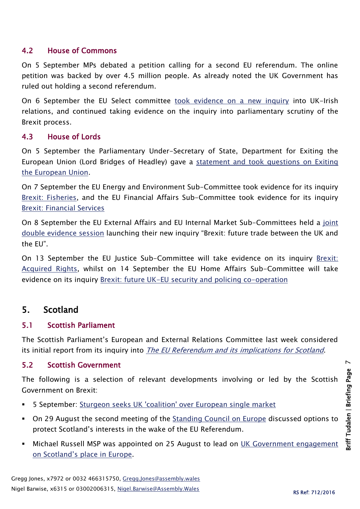#### 4.2 House of Commons

On 5 September MPs debated a petition calling for a second EU referendum. The online petition was backed by over 4.5 million people. As already noted the UK Government has ruled out holding a second referendum.

On 6 September the EU Select committee [took evidence on a new inquiry](http://www.parliament.uk/business/committees/committees-a-z/lords-select/eu-select-committee-/inquiries/parliament-2015/brexit-uk-irish-relations/) into UK-Irish relations, and continued taking evidence on the inquiry into parliamentary scrutiny of the Brexit process.

#### 4.3 House of Lords

On 5 September the Parliamentary Under-Secretary of State, Department for Exiting the European Union (Lord Bridges of Headley) gave a [statement and took questions on Exiting](http://hansard.parliament.uk/Lords/2016-09-05/debates/1609053000467/ExitingTheEuropeanUnion)  [the European Union.](http://hansard.parliament.uk/Lords/2016-09-05/debates/1609053000467/ExitingTheEuropeanUnion)

On 7 September the EU Energy and Environment Sub-Committee took evidence for its inquiry [Brexit: Fisheries,](http://www.parliament.uk/business/committees/committees-a-z/lords-select/eu-energy-environment-subcommittee/) and the EU Financial Affairs Sub-Committee took evidence for its inquiry [Brexit: Financial Services](http://www.parliament.uk/business/committees/committees-a-z/lords-select/eu-financial-affairs-subcommittee/)

On 8 September the EU External Affairs and EU Internal Market Sub-Committees held a [joint](http://www.parliament.uk/business/committees/committees-a-z/lords-select/eu-internal-market-subcommittee/news-parliament-2015/brexit-future-trade-inquiry-launch/)  [double evidence session](http://www.parliament.uk/business/committees/committees-a-z/lords-select/eu-internal-market-subcommittee/news-parliament-2015/brexit-future-trade-inquiry-launch/) launching their new inquiry "Brexit: future trade between the UK and the EU".

On 13 September the EU Justice Sub-Committee will take evidence on its inquiry [Brexit:](http://www.parliament.uk/business/committees/committees-a-z/lords-select/eu-justice-subcommittee/)  [Acquired Rights,](http://www.parliament.uk/business/committees/committees-a-z/lords-select/eu-justice-subcommittee/) whilst on 14 September the EU Home Affairs Sub-Committee will take evidence on its inquiry [Brexit: future UK-EU security and policing co-operation](http://www.parliament.uk/business/committees/committees-a-z/lords-select/eu-home-affairs-subcommittee/)

## 5. Scotland

#### 5.1 Scottish Parliament

The Scottish Parliament's European and External Relations Committee last week considered its initial report from its inquiry into [The EU Referendum and its implications for Scotland](http://www.parliament.scot/parliamentarybusiness/CurrentCommittees/european-committee.aspx).

#### 5.2 Scottish Government

The following is a selection of relevant developments involving or led by the Scottish Government on Brexit:

- **5 September:** [Sturgeon seeks UK 'coalition' over European single market](http://www.bbc.co.uk/news/uk-scotland-scotland-politics-37266240)
- On 29 August the second meeting of the [Standing Council on Europe](http://news.scotland.gov.uk/News/Brexit-threat-to-human-rights-29a8.aspx) discussed options to protect Scotland's interests in the wake of the EU Referendum.
- **Michael Russell MSP was appointed on 25 August to lead on UK Government engagement** [on Scotland's place in Europe](http://news.scotland.gov.uk/News/New-Minister-appointment-2968.aspx).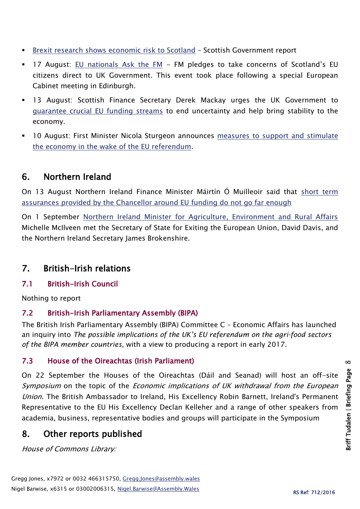- [Brexit research shows economic risk to Scotland](http://news.scotland.gov.uk/News/Brexit-research-shows-economic-risk-to-Scotland-2940.aspx) Scottish Government report
- 17 August: [EU nationals Ask the FM](http://news.scotland.gov.uk/News/EU-nationals-Ask-the-FM-28d9.aspx) FM pledges to take concerns of Scotland's EU citizens direct to UK Government. This event took place following a special European Cabinet meeting in Edinburgh.
- 13 August: Scottish Finance Secretary Derek Mackay urges the UK Government to [guarantee crucial EU funding streams](http://news.scotland.gov.uk/News/Clarity-sought-over-EU-funds-28b4.aspx) to end uncertainty and help bring stability to the economy.
- 10 August: First Minister Nicola Sturgeon announces [measures to support and stimulate](http://news.scotland.gov.uk/News/Capital-spending-boost-post-Brexit-vote-2872.aspx)  [the economy in the wake of the EU referendum.](http://news.scotland.gov.uk/News/Capital-spending-boost-post-Brexit-vote-2872.aspx)

## 6. Northern Ireland

On 13 August Northern Ireland Finance Minister Máirtín Ó Muilleoir said that [short term](https://www.finance-ni.gov.uk/news/treasury-announcement-eu-funding-unacceptable-o-muilleoir)  [assurances provided by the Chancellor around EU funding do not go far enough](https://www.finance-ni.gov.uk/news/treasury-announcement-eu-funding-unacceptable-o-muilleoir)

On 1 September [Northern Ireland Minister for Agriculture, Environment and Rural Affairs](https://www.daera-ni.gov.uk/news/mcilveen-discusses-eu-exit-cabinet-ministers) Michelle McIlveen met the Secretary of State for Exiting the European Union, David Davis, and the Northern Ireland Secretary James Brokenshire.

## 7. British-Irish relations

#### 7.1 British-Irish Council

Nothing to report

#### 7.2 British-Irish Parliamentary Assembly (BIPA)

The British Irish Parliamentary Assembly (BIPA) Committee C – Economic Affairs has launched an inquiry into *The possible implications of the UK's EU referendum on the agri-food sectors of the BIPA member countries*, with a view to producing a report in early 2017.

#### 7.3 House of the Oireachtas (Irish Parliament)

On 22 September the Houses of the Oireachtas (Dáil and Seanad) will host an off-site Symposium on the topic of the *Economic implications of UK withdrawal from the European* Union. The British Ambassador to Ireland, His Excellency Robin Barnett, Ireland's Permanent Representative to the EU His Excellency Declan Kelleher and a range of other speakers from academia, business, representative bodies and groups will participate in the Symposium

## 8. Other reports published

House of Commons Library: